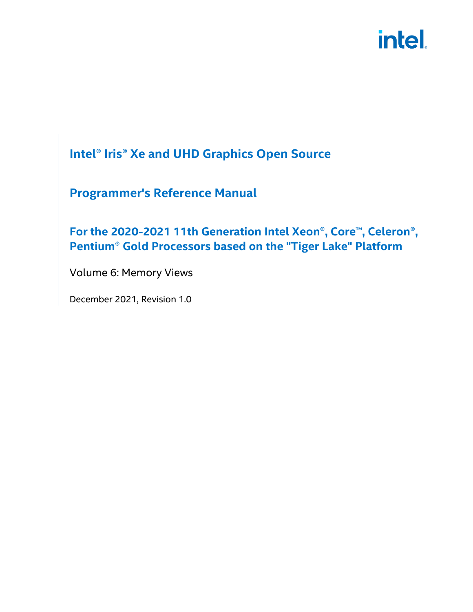## **Intel® Iris® Xe and UHD Graphics Open Source**

## **Programmer's Reference Manual**

**For the 2020-2021 11th Generation Intel Xeon®, Core™, Celeron®, Pentium® Gold Processors based on the "Tiger Lake" Platform** 

Volume 6: Memory Views

December 2021, Revision 1.0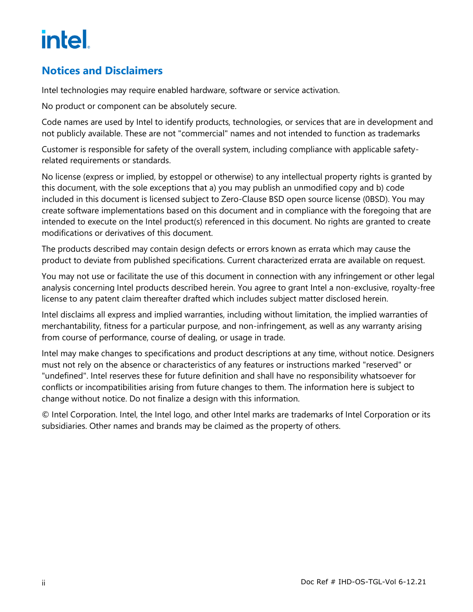### **Notices and Disclaimers**

Intel technologies may require enabled hardware, software or service activation.

No product or component can be absolutely secure.

Code names are used by Intel to identify products, technologies, or services that are in development and not publicly available. These are not "commercial" names and not intended to function as trademarks

Customer is responsible for safety of the overall system, including compliance with applicable safetyrelated requirements or standards.

No license (express or implied, by estoppel or otherwise) to any intellectual property rights is granted by this document, with the sole exceptions that a) you may publish an unmodified copy and b) code included in this document is licensed subject to Zero-Clause BSD open source license (0BSD). You may create software implementations based on this document and in compliance with the foregoing that are intended to execute on the Intel product(s) referenced in this document. No rights are granted to create modifications or derivatives of this document.

The products described may contain design defects or errors known as errata which may cause the product to deviate from published specifications. Current characterized errata are available on request.

You may not use or facilitate the use of this document in connection with any infringement or other legal analysis concerning Intel products described herein. You agree to grant Intel a non-exclusive, royalty-free license to any patent claim thereafter drafted which includes subject matter disclosed herein.

Intel disclaims all express and implied warranties, including without limitation, the implied warranties of merchantability, fitness for a particular purpose, and non-infringement, as well as any warranty arising from course of performance, course of dealing, or usage in trade.

Intel may make changes to specifications and product descriptions at any time, without notice. Designers must not rely on the absence or characteristics of any features or instructions marked "reserved" or "undefined". Intel reserves these for future definition and shall have no responsibility whatsoever for conflicts or incompatibilities arising from future changes to them. The information here is subject to change without notice. Do not finalize a design with this information.

© Intel Corporation. Intel, the Intel logo, and other Intel marks are trademarks of Intel Corporation or its subsidiaries. Other names and brands may be claimed as the property of others.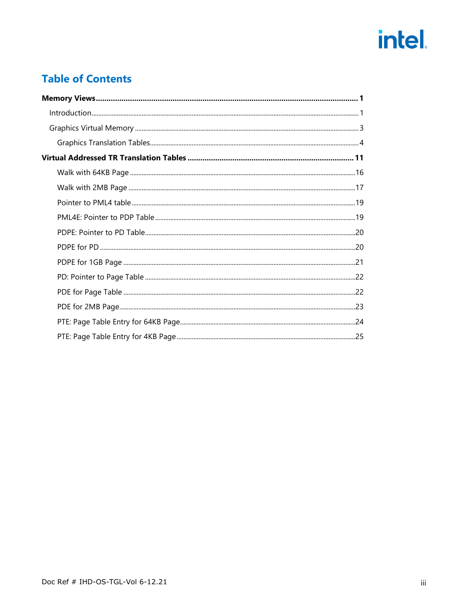## **Table of Contents**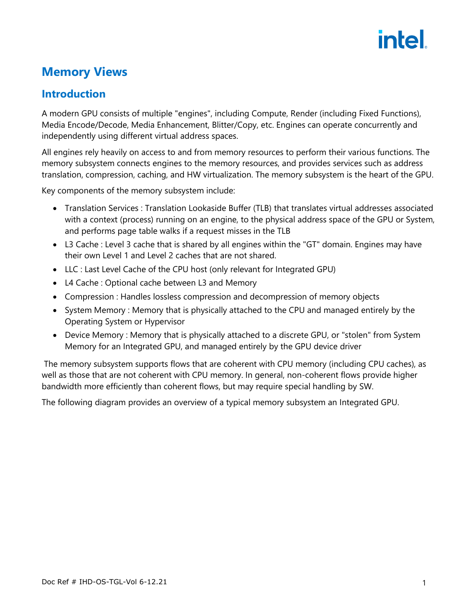

### <span id="page-4-0"></span>**Memory Views**

### <span id="page-4-1"></span>**Introduction**

A modern GPU consists of multiple "engines", including Compute, Render (including Fixed Functions), Media Encode/Decode, Media Enhancement, Blitter/Copy, etc. Engines can operate concurrently and independently using different virtual address spaces.

All engines rely heavily on access to and from memory resources to perform their various functions. The memory subsystem connects engines to the memory resources, and provides services such as address translation, compression, caching, and HW virtualization. The memory subsystem is the heart of the GPU.

Key components of the memory subsystem include:

- Translation Services : Translation Lookaside Buffer (TLB) that translates virtual addresses associated with a context (process) running on an engine, to the physical address space of the GPU or System, and performs page table walks if a request misses in the TLB
- L3 Cache : Level 3 cache that is shared by all engines within the "GT" domain. Engines may have their own Level 1 and Level 2 caches that are not shared.
- LLC : Last Level Cache of the CPU host (only relevant for Integrated GPU)
- L4 Cache : Optional cache between L3 and Memory
- Compression : Handles lossless compression and decompression of memory objects
- System Memory : Memory that is physically attached to the CPU and managed entirely by the Operating System or Hypervisor
- Device Memory : Memory that is physically attached to a discrete GPU, or "stolen" from System Memory for an Integrated GPU, and managed entirely by the GPU device driver

The memory subsystem supports flows that are coherent with CPU memory (including CPU caches), as well as those that are not coherent with CPU memory. In general, non-coherent flows provide higher bandwidth more efficiently than coherent flows, but may require special handling by SW.

The following diagram provides an overview of a typical memory subsystem an Integrated GPU.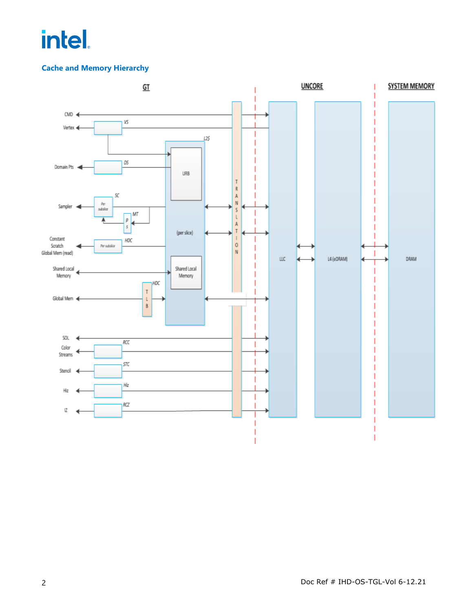#### **Cache and Memory Hierarchy**

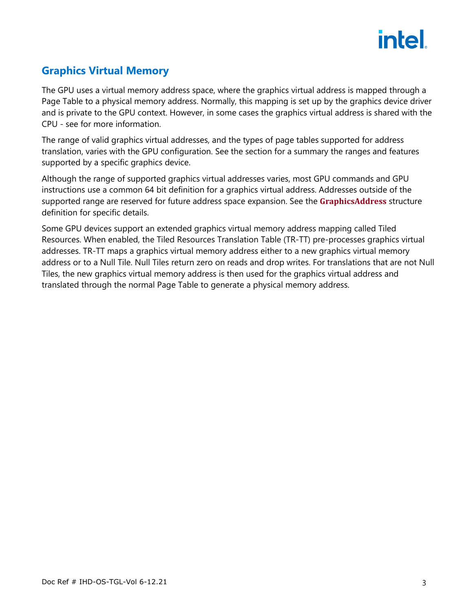

### <span id="page-6-0"></span>**Graphics Virtual Memory**

The GPU uses a virtual memory address space, where the graphics virtual address is mapped through a Page Table to a physical memory address. Normally, this mapping is set up by the graphics device driver and is private to the GPU context. However, in some cases the graphics virtual address is shared with the CPU - see for more information.

The range of valid graphics virtual addresses, and the types of page tables supported for address translation, varies with the GPU configuration. See the section for a summary the ranges and features supported by a specific graphics device.

Although the range of supported graphics virtual addresses varies, most GPU commands and GPU instructions use a common 64 bit definition for a graphics virtual address. Addresses outside of the supported range are reserved for future address space expansion. See the **GraphicsAddress** structure definition for specific details.

Some GPU devices support an extended graphics virtual memory address mapping called Tiled Resources. When enabled, the Tiled Resources Translation Table (TR-TT) pre-processes graphics virtual addresses. TR-TT maps a graphics virtual memory address either to a new graphics virtual memory address or to a Null Tile. Null Tiles return zero on reads and drop writes. For translations that are not Null Tiles, the new graphics virtual memory address is then used for the graphics virtual address and translated through the normal Page Table to generate a physical memory address.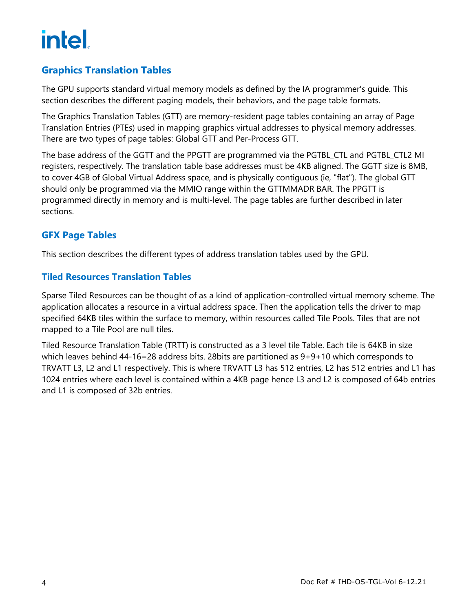### <span id="page-7-0"></span>**Graphics Translation Tables**

The GPU supports standard virtual memory models as defined by the IA programmer's guide. This section describes the different paging models, their behaviors, and the page table formats.

The Graphics Translation Tables (GTT) are memory-resident page tables containing an array of Page Translation Entries (PTEs) used in mapping graphics virtual addresses to physical memory addresses. There are two types of page tables: Global GTT and Per-Process GTT.

The base address of the GGTT and the PPGTT are programmed via the PGTBL\_CTL and PGTBL\_CTL2 MI registers, respectively. The translation table base addresses must be 4KB aligned. The GGTT size is 8MB, to cover 4GB of Global Virtual Address space, and is physically contiguous (ie, "flat"). The global GTT should only be programmed via the MMIO range within the GTTMMADR BAR. The PPGTT is programmed directly in memory and is multi-level. The page tables are further described in later sections.

### **GFX Page Tables**

This section describes the different types of address translation tables used by the GPU.

### **Tiled Resources Translation Tables**

Sparse Tiled Resources can be thought of as a kind of application-controlled virtual memory scheme. The application allocates a resource in a virtual address space. Then the application tells the driver to map specified 64KB tiles within the surface to memory, within resources called Tile Pools. Tiles that are not mapped to a Tile Pool are null tiles.

Tiled Resource Translation Table (TRTT) is constructed as a 3 level tile Table. Each tile is 64KB in size which leaves behind 44-16=28 address bits. 28bits are partitioned as 9+9+10 which corresponds to TRVATT L3, L2 and L1 respectively. This is where TRVATT L3 has 512 entries, L2 has 512 entries and L1 has 1024 entries where each level is contained within a 4KB page hence L3 and L2 is composed of 64b entries and L1 is composed of 32b entries.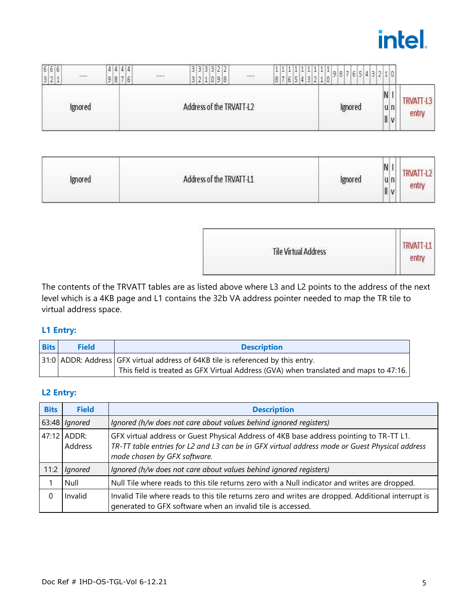| 66<br>$\mathfrak{D}$<br>-<br>$-11$ | $\cdots$ | -<br>Q   Q | 10 | $\frac{1}{2}$ | 3 <br>$\sim$<br>w<br>$\Omega$<br>se i | $_{\rm{max}}$ | 8 | 43<br>۱۵۱<br>6<br>5<br>-<br>Q<br>u.<br>u<br> 0 | 17110             |      |
|------------------------------------|----------|------------|----|---------------|---------------------------------------|---------------|---|------------------------------------------------|-------------------|------|
|                                    | Ignored  |            |    |               | Address of the TRVATT-L2              |               |   | Ignored                                        | N<br>lu n<br>II v | ent. |

| Ignored | <b>MARCHINE</b><br>Address of the TRVATT-L1 | lgnored | N<br> U <br>II v |
|---------|---------------------------------------------|---------|------------------|
|---------|---------------------------------------------|---------|------------------|

| <b>Tile Virtual Address</b> | <b>RVATT-L1</b> |
|-----------------------------|-----------------|
|-----------------------------|-----------------|

The contents of the TRVATT tables are as listed above where L3 and L2 points to the address of the next level which is a 4KB page and L1 contains the 32b VA address pointer needed to map the TR tile to virtual address space.

#### **L1 Entry:**

| <b>Bits</b> | <b>Field</b> | <b>Description</b>                                                                    |
|-------------|--------------|---------------------------------------------------------------------------------------|
|             |              | 31:0 ADDR: Address GFX virtual address of 64KB tile is referenced by this entry.      |
|             |              | This field is treated as GFX Virtual Address (GVA) when translated and maps to 47:16. |

### **L2 Entry:**

| <b>Bits</b> | <b>Field</b>           | <b>Description</b>                                                                                                                                                                                                        |
|-------------|------------------------|---------------------------------------------------------------------------------------------------------------------------------------------------------------------------------------------------------------------------|
|             | $63:48$ Ignored        | Ignored (h/w does not care about values behind ignored registers)                                                                                                                                                         |
|             | 47:12 ADDR:<br>Address | GFX virtual address or Guest Physical Address of 4KB base address pointing to TR-TT L1.<br>TR-TT table entries for L2 and L3 can be in GFX virtual address mode or Guest Physical address<br>mode chosen by GFX software. |
| 11:2        | <i>lgnored</i>         | Ignored (h/w does not care about values behind ignored registers)                                                                                                                                                         |
|             | Null                   | Null Tile where reads to this tile returns zero with a Null indicator and writes are dropped.                                                                                                                             |
| $\Omega$    | Invalid                | Invalid Tile where reads to this tile returns zero and writes are dropped. Additional interrupt is<br>generated to GFX software when an invalid tile is accessed.                                                         |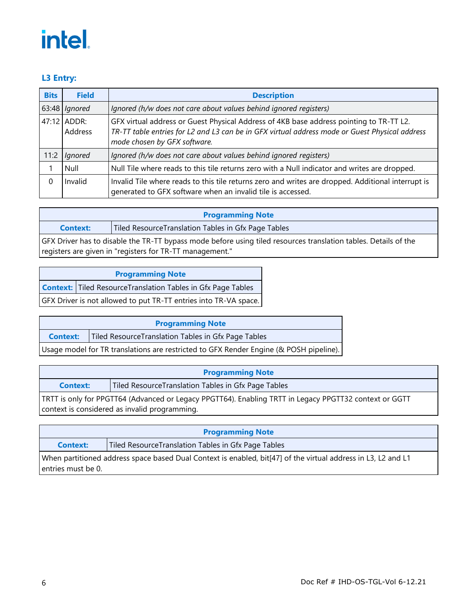### **L3 Entry:**

| <b>Bits</b> | <b>Field</b>           | <b>Description</b>                                                                                                                                                                                                        |
|-------------|------------------------|---------------------------------------------------------------------------------------------------------------------------------------------------------------------------------------------------------------------------|
|             | $63:48$ Ignored        | Ignored (h/w does not care about values behind ignored registers)                                                                                                                                                         |
|             | 47:12 ADDR:<br>Address | GFX virtual address or Guest Physical Address of 4KB base address pointing to TR-TT L2.<br>TR-TT table entries for L2 and L3 can be in GFX virtual address mode or Guest Physical address<br>mode chosen by GFX software. |
| 11:2        | <i>lgnored</i>         | Ignored (h/w does not care about values behind ignored registers)                                                                                                                                                         |
|             | Null                   | Null Tile where reads to this tile returns zero with a Null indicator and writes are dropped.                                                                                                                             |
| 0           | Invalid                | Invalid Tile where reads to this tile returns zero and writes are dropped. Additional interrupt is<br>generated to GFX software when an invalid tile is accessed.                                                         |

|                 | <b>Programming Note</b>                                                                      |
|-----------------|----------------------------------------------------------------------------------------------|
| <b>Context:</b> | Tiled ResourceTranslation Tables in Gfx Page Tables                                          |
|                 | FEX Driver has to disable the TR-TT bynass mode before using tiled resources translation tal |

GFX Driver has to disable the TR-TT bypass mode before using tiled resources translation tables. Details of the registers are given in "registers for TR-TT management."

| <b>Programming Note</b>                                          |                                                                     |  |  |  |
|------------------------------------------------------------------|---------------------------------------------------------------------|--|--|--|
|                                                                  | <b>Context:</b> Tiled ResourceTranslation Tables in Gfx Page Tables |  |  |  |
| GFX Driver is not allowed to put TR-TT entries into TR-VA space. |                                                                     |  |  |  |

|                                                                                        | <b>Programming Note</b>                             |  |
|----------------------------------------------------------------------------------------|-----------------------------------------------------|--|
| <b>Context:</b>                                                                        | Tiled ResourceTranslation Tables in Gfx Page Tables |  |
| Usage model for TR translations are restricted to GFX Render Engine (& POSH pipeline). |                                                     |  |

| <b>Programming Note</b>                                                 |                                                                                                                                                         |  |  |  |
|-------------------------------------------------------------------------|---------------------------------------------------------------------------------------------------------------------------------------------------------|--|--|--|
| Tiled Resource Translation Tables in Gfx Page Tables<br><b>Context:</b> |                                                                                                                                                         |  |  |  |
|                                                                         | TRTT is only for PPGTT64 (Advanced or Legacy PPGTT64). Enabling TRTT in Legacy PPGTT32 context or GGTT<br>context is considered as invalid programming. |  |  |  |
|                                                                         |                                                                                                                                                         |  |  |  |

| <b>Programming Note</b>                                                                                       |                                                      |  |  |  |
|---------------------------------------------------------------------------------------------------------------|------------------------------------------------------|--|--|--|
| <b>Context:</b>                                                                                               | Tiled Resource Translation Tables in Gfx Page Tables |  |  |  |
| When partitioned address space based Dual Context is enabled, bit[47] of the virtual address in L3, L2 and L1 |                                                      |  |  |  |
| entries must be 0.                                                                                            |                                                      |  |  |  |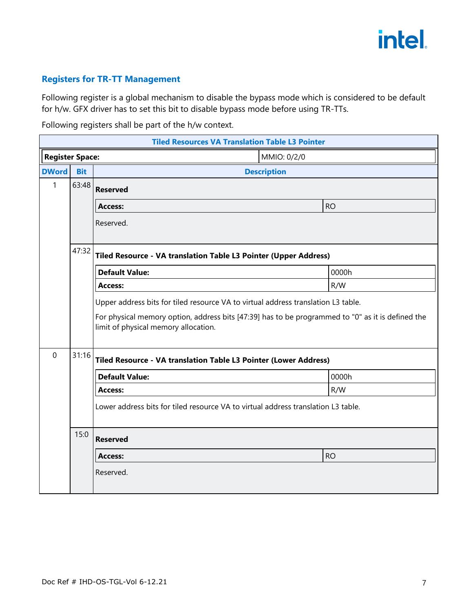

#### **Registers for TR-TT Management**

Following register is a global mechanism to disable the bypass mode which is considered to be default for h/w. GFX driver has to set this bit to disable bypass mode before using TR-TTs.

Following registers shall be part of the h/w context.

|                        | <b>Tiled Resources VA Translation Table L3 Pointer</b>           |                                                                                                                                           |                    |           |  |  |  |
|------------------------|------------------------------------------------------------------|-------------------------------------------------------------------------------------------------------------------------------------------|--------------------|-----------|--|--|--|
| <b>Register Space:</b> |                                                                  |                                                                                                                                           | MMIO: 0/2/0        |           |  |  |  |
| <b>DWord</b>           | <b>Bit</b>                                                       |                                                                                                                                           | <b>Description</b> |           |  |  |  |
| 1                      | 63:48                                                            | <b>Reserved</b>                                                                                                                           |                    |           |  |  |  |
|                        |                                                                  | Access:                                                                                                                                   |                    | <b>RO</b> |  |  |  |
|                        |                                                                  | Reserved.                                                                                                                                 |                    |           |  |  |  |
|                        | Tiled Resource - VA translation Table L3 Pointer (Upper Address) |                                                                                                                                           |                    |           |  |  |  |
|                        |                                                                  | <b>Default Value:</b>                                                                                                                     |                    | 0000h     |  |  |  |
|                        |                                                                  | Access:                                                                                                                                   |                    | R/W       |  |  |  |
|                        |                                                                  | Upper address bits for tiled resource VA to virtual address translation L3 table.                                                         |                    |           |  |  |  |
|                        |                                                                  | For physical memory option, address bits [47:39] has to be programmed to "0" as it is defined the<br>limit of physical memory allocation. |                    |           |  |  |  |
| $\mathbf{0}$           | 31:16                                                            | Tiled Resource - VA translation Table L3 Pointer (Lower Address)                                                                          |                    |           |  |  |  |
|                        |                                                                  | <b>Default Value:</b>                                                                                                                     |                    | 0000h     |  |  |  |
|                        |                                                                  | Access:                                                                                                                                   |                    | R/W       |  |  |  |
|                        |                                                                  | Lower address bits for tiled resource VA to virtual address translation L3 table.                                                         |                    |           |  |  |  |
|                        | 15:0                                                             | <b>Reserved</b>                                                                                                                           |                    |           |  |  |  |
|                        |                                                                  | <b>Access:</b>                                                                                                                            |                    | <b>RO</b> |  |  |  |
|                        |                                                                  | Reserved.                                                                                                                                 |                    |           |  |  |  |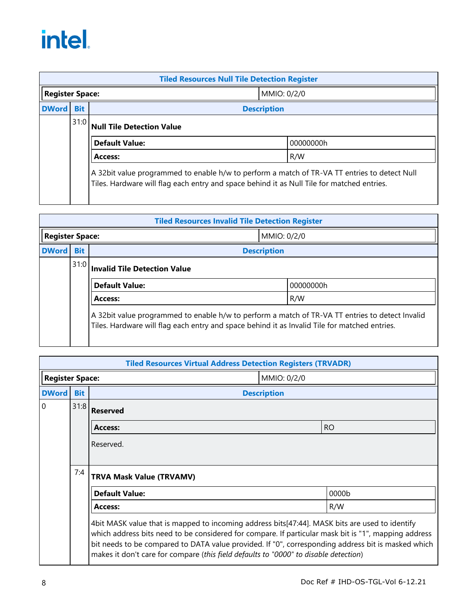|                                       | <b>Tiled Resources Null Tile Detection Register</b> |                                                                                                                                                                                            |                    |  |  |  |  |
|---------------------------------------|-----------------------------------------------------|--------------------------------------------------------------------------------------------------------------------------------------------------------------------------------------------|--------------------|--|--|--|--|
| <b>Register Space:</b><br>MMIO: 0/2/0 |                                                     |                                                                                                                                                                                            |                    |  |  |  |  |
| <b>DWord</b>                          | <b>Bit</b>                                          |                                                                                                                                                                                            | <b>Description</b> |  |  |  |  |
|                                       | 31:0                                                | <b>Null Tile Detection Value</b>                                                                                                                                                           |                    |  |  |  |  |
|                                       |                                                     | <b>Default Value:</b>                                                                                                                                                                      | 00000000h          |  |  |  |  |
|                                       |                                                     | Access:                                                                                                                                                                                    | R/W                |  |  |  |  |
|                                       |                                                     | A 32bit value programmed to enable h/w to perform a match of TR-VA TT entries to detect Null<br>Tiles. Hardware will flag each entry and space behind it as Null Tile for matched entries. |                    |  |  |  |  |

|                                       | <b>Tiled Resources Invalid Tile Detection Register</b> |                                                                                                                                                                                                  |                    |  |  |  |
|---------------------------------------|--------------------------------------------------------|--------------------------------------------------------------------------------------------------------------------------------------------------------------------------------------------------|--------------------|--|--|--|
| <b>Register Space:</b><br>MMIO: 0/2/0 |                                                        |                                                                                                                                                                                                  |                    |  |  |  |
| <b>DWord</b>                          | <b>Bit</b>                                             |                                                                                                                                                                                                  | <b>Description</b> |  |  |  |
|                                       | 31:0                                                   | <b>Invalid Tile Detection Value</b>                                                                                                                                                              |                    |  |  |  |
|                                       |                                                        | <b>Default Value:</b>                                                                                                                                                                            | 00000000h          |  |  |  |
|                                       |                                                        | R/W<br>Access:                                                                                                                                                                                   |                    |  |  |  |
|                                       |                                                        | A 32bit value programmed to enable h/w to perform a match of TR-VA TT entries to detect Invalid<br>Tiles. Hardware will flag each entry and space behind it as Invalid Tile for matched entries. |                    |  |  |  |

|                                                                                                                                                                                                                                                                                                                                                                                                      | <b>Tiled Resources Virtual Address Detection Registers (TRVADR)</b> |                                 |                    |  |           |  |
|------------------------------------------------------------------------------------------------------------------------------------------------------------------------------------------------------------------------------------------------------------------------------------------------------------------------------------------------------------------------------------------------------|---------------------------------------------------------------------|---------------------------------|--------------------|--|-----------|--|
| MMIO: 0/2/0<br><b>Register Space:</b>                                                                                                                                                                                                                                                                                                                                                                |                                                                     |                                 |                    |  |           |  |
| <b>DWord</b>                                                                                                                                                                                                                                                                                                                                                                                         | <b>Bit</b>                                                          |                                 | <b>Description</b> |  |           |  |
| $\overline{0}$                                                                                                                                                                                                                                                                                                                                                                                       | 31:8<br><b>Reserved</b>                                             |                                 |                    |  |           |  |
|                                                                                                                                                                                                                                                                                                                                                                                                      |                                                                     | Access:                         |                    |  | <b>RO</b> |  |
|                                                                                                                                                                                                                                                                                                                                                                                                      | Reserved.                                                           |                                 |                    |  |           |  |
|                                                                                                                                                                                                                                                                                                                                                                                                      |                                                                     |                                 |                    |  |           |  |
|                                                                                                                                                                                                                                                                                                                                                                                                      | 7:4                                                                 | <b>TRVA Mask Value (TRVAMV)</b> |                    |  |           |  |
|                                                                                                                                                                                                                                                                                                                                                                                                      |                                                                     | <b>Default Value:</b>           |                    |  | 0000b     |  |
|                                                                                                                                                                                                                                                                                                                                                                                                      |                                                                     | Access:                         |                    |  | R/W       |  |
| 4bit MASK value that is mapped to incoming address bits[47:44]. MASK bits are used to identify<br>which address bits need to be considered for compare. If particular mask bit is "1", mapping address<br>bit needs to be compared to DATA value provided. If "0", corresponding address bit is masked which<br>makes it don't care for compare (this field defaults to "0000" to disable detection) |                                                                     |                                 |                    |  |           |  |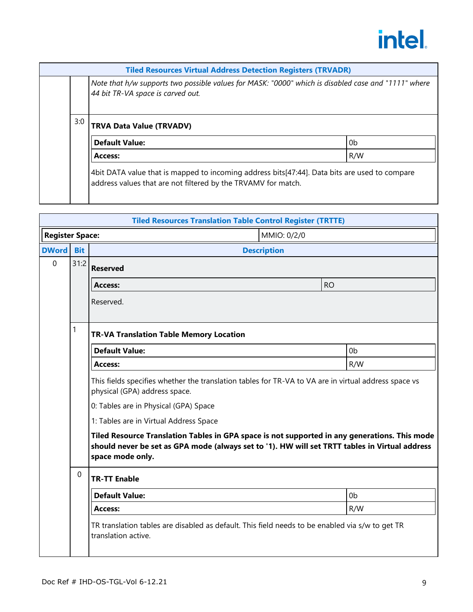

|                                                                                                                                          | <b>Tiled Resources Virtual Address Detection Registers (TRVADR)</b>                                                                                            |     |  |  |  |
|------------------------------------------------------------------------------------------------------------------------------------------|----------------------------------------------------------------------------------------------------------------------------------------------------------------|-----|--|--|--|
| Note that h/w supports two possible values for MASK: "0000" which is disabled case and "1111" where<br>44 bit TR-VA space is carved out. |                                                                                                                                                                |     |  |  |  |
| 3:0                                                                                                                                      | <b>TRVA Data Value (TRVADV)</b>                                                                                                                                |     |  |  |  |
|                                                                                                                                          | <b>Default Value:</b>                                                                                                                                          | 0b  |  |  |  |
|                                                                                                                                          | Access:                                                                                                                                                        | R/W |  |  |  |
|                                                                                                                                          | 4bit DATA value that is mapped to incoming address bits[47:44]. Data bits are used to compare<br>address values that are not filtered by the TRVAMV for match. |     |  |  |  |

|                                       |            | <b>Tiled Resources Translation Table Control Register (TRTTE)</b>                                                                                                                                                   |                    |                |  |
|---------------------------------------|------------|---------------------------------------------------------------------------------------------------------------------------------------------------------------------------------------------------------------------|--------------------|----------------|--|
| <b>Register Space:</b><br>MMIO: 0/2/0 |            |                                                                                                                                                                                                                     |                    |                |  |
| <b>DWord</b>                          | <b>Bit</b> |                                                                                                                                                                                                                     | <b>Description</b> |                |  |
| $\Omega$                              | 31:2       | <b>Reserved</b>                                                                                                                                                                                                     |                    |                |  |
|                                       |            | <b>Access:</b>                                                                                                                                                                                                      | <b>RO</b>          |                |  |
|                                       |            | Reserved.                                                                                                                                                                                                           |                    |                |  |
|                                       | 1          | TR-VA Translation Table Memory Location                                                                                                                                                                             |                    |                |  |
|                                       |            | <b>Default Value:</b>                                                                                                                                                                                               |                    | 0 <sub>b</sub> |  |
|                                       |            | Access:                                                                                                                                                                                                             |                    | R/W            |  |
|                                       |            | This fields specifies whether the translation tables for TR-VA to VA are in virtual address space vs<br>physical (GPA) address space.                                                                               |                    |                |  |
|                                       |            | 0: Tables are in Physical (GPA) Space                                                                                                                                                                               |                    |                |  |
|                                       |            | 1: Tables are in Virtual Address Space                                                                                                                                                                              |                    |                |  |
|                                       |            | Tiled Resource Translation Tables in GPA space is not supported in any generations. This mode<br>should never be set as GPA mode (always set to '1). HW will set TRTT tables in Virtual address<br>space mode only. |                    |                |  |
|                                       | $\Omega$   | <b>TR-TT Enable</b>                                                                                                                                                                                                 |                    |                |  |
|                                       |            | <b>Default Value:</b>                                                                                                                                                                                               |                    | 0 <sub>b</sub> |  |
|                                       |            | Access:                                                                                                                                                                                                             |                    | R/W            |  |
|                                       |            | TR translation tables are disabled as default. This field needs to be enabled via s/w to get TR<br>translation active.                                                                                              |                    |                |  |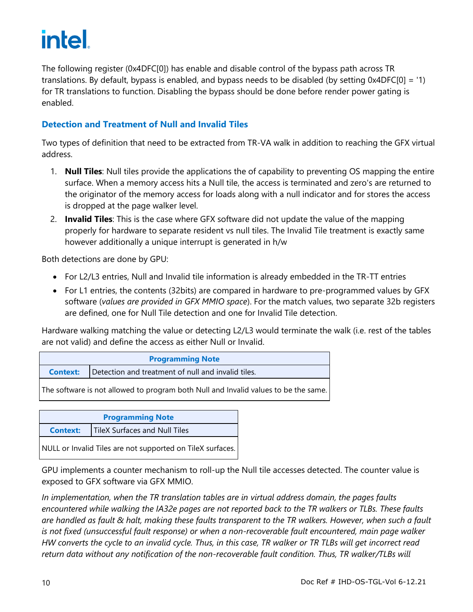The following register (0x4DFC[0]) has enable and disable control of the bypass path across TR translations. By default, bypass is enabled, and bypass needs to be disabled (by setting 0x4DFC[0] = '1) for TR translations to function. Disabling the bypass should be done before render power gating is enabled.

### **Detection and Treatment of Null and Invalid Tiles**

Two types of definition that need to be extracted from TR-VA walk in addition to reaching the GFX virtual address.

- 1. **Null Tiles**: Null tiles provide the applications the of capability to preventing OS mapping the entire surface. When a memory access hits a Null tile, the access is terminated and zero's are returned to the originator of the memory access for loads along with a null indicator and for stores the access is dropped at the page walker level.
- 2. **Invalid Tiles**: This is the case where GFX software did not update the value of the mapping properly for hardware to separate resident vs null tiles. The Invalid Tile treatment is exactly same however additionally a unique interrupt is generated in h/w

Both detections are done by GPU:

- For L2/L3 entries, Null and Invalid tile information is already embedded in the TR-TT entries
- For L1 entries, the contents (32bits) are compared in hardware to pre-programmed values by GFX software (*values are provided in GFX MMIO space*). For the match values, two separate 32b registers are defined, one for Null Tile detection and one for Invalid Tile detection.

Hardware walking matching the value or detecting L2/L3 would terminate the walk (i.e. rest of the tables are not valid) and define the access as either Null or Invalid.

| <b>Programming Note</b> |                                                                                     |  |  |  |  |
|-------------------------|-------------------------------------------------------------------------------------|--|--|--|--|
| <b>Context:</b>         | Detection and treatment of null and invalid tiles.                                  |  |  |  |  |
|                         | The software is not allowed to program both Null and Invalid values to be the same. |  |  |  |  |

| <b>Programming Note</b> |                                      |  |  |  |  |
|-------------------------|--------------------------------------|--|--|--|--|
| <b>Context:</b>         | <b>TileX Surfaces and Null Tiles</b> |  |  |  |  |
|                         |                                      |  |  |  |  |

NULL or Invalid Tiles are not supported on TileX surfaces.

GPU implements a counter mechanism to roll-up the Null tile accesses detected. The counter value is exposed to GFX software via GFX MMIO.

*In implementation, when the TR translation tables are in virtual address domain, the pages faults encountered while walking the IA32e pages are not reported back to the TR walkers or TLBs. These faults are handled as fault & halt, making these faults transparent to the TR walkers. However, when such a fault is not fixed (unsuccessful fault response) or when a non-recoverable fault encountered, main page walker HW converts the cycle to an invalid cycle. Thus, in this case, TR walker or TR TLBs will get incorrect read return data without any notification of the non-recoverable fault condition. Thus, TR walker/TLBs will*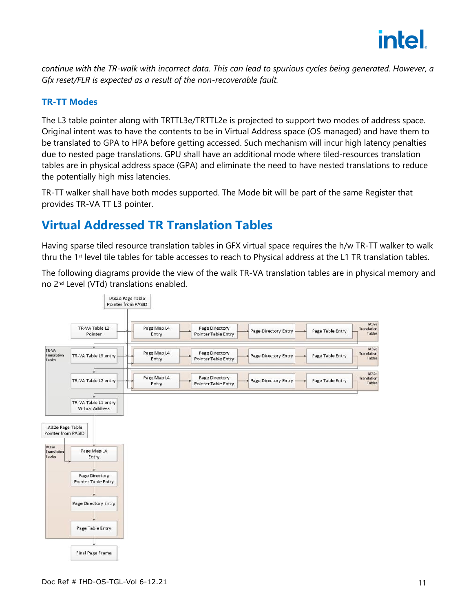

*continue with the TR-walk with incorrect data. This can lead to spurious cycles being generated. However, a Gfx reset/FLR is expected as a result of the non-recoverable fault.*

#### **TR-TT Modes**

The L3 table pointer along with TRTTL3e/TRTTL2e is projected to support two modes of address space. Original intent was to have the contents to be in Virtual Address space (OS managed) and have them to be translated to GPA to HPA before getting accessed. Such mechanism will incur high latency penalties due to nested page translations. GPU shall have an additional mode where tiled-resources translation tables are in physical address space (GPA) and eliminate the need to have nested translations to reduce the potentially high miss latencies.

TR-TT walker shall have both modes supported. The Mode bit will be part of the same Register that provides TR-VA TT L3 pointer.

### <span id="page-14-0"></span>**Virtual Addressed TR Translation Tables**

Having sparse tiled resource translation tables in GFX virtual space requires the h/w TR-TT walker to walk thru the  $1<sup>st</sup>$  level tile tables for table accesses to reach to Physical address at the L1 TR translation tables.

The following diagrams provide the view of the walk TR-VA translation tables are in physical memory and no 2 nd Level (VTd) translations enabled.

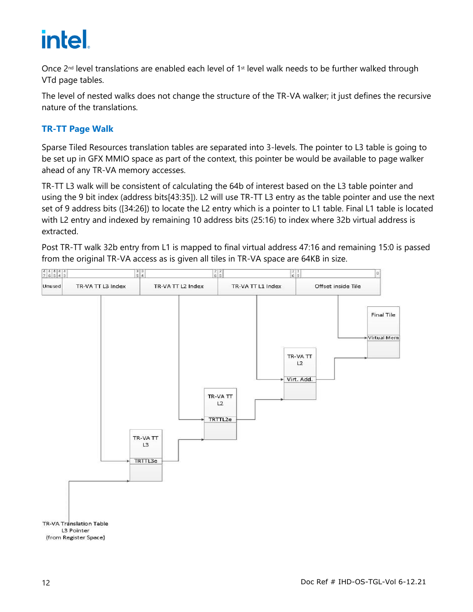Once  $2^{nd}$  level translations are enabled each level of 1<sup>st</sup> level walk needs to be further walked through VTd page tables.

The level of nested walks does not change the structure of the TR-VA walker; it just defines the recursive nature of the translations.

### **TR-TT Page Walk**

Sparse Tiled Resources translation tables are separated into 3-levels. The pointer to L3 table is going to be set up in GFX MMIO space as part of the context, this pointer be would be available to page walker ahead of any TR-VA memory accesses.

TR-TT L3 walk will be consistent of calculating the 64b of interest based on the L3 table pointer and using the 9 bit index (address bits[43:35]). L2 will use TR-TT L3 entry as the table pointer and use the next set of 9 address bits ([34:26]) to locate the L2 entry which is a pointer to L1 table. Final L1 table is located with L2 entry and indexed by remaining 10 address bits (25:16) to index where 32b virtual address is extracted.

Post TR-TT walk 32b entry from L1 is mapped to final virtual address 47:16 and remaining 15:0 is passed from the original TR-VA access as is given all tiles in TR-VA space are 64KB in size.

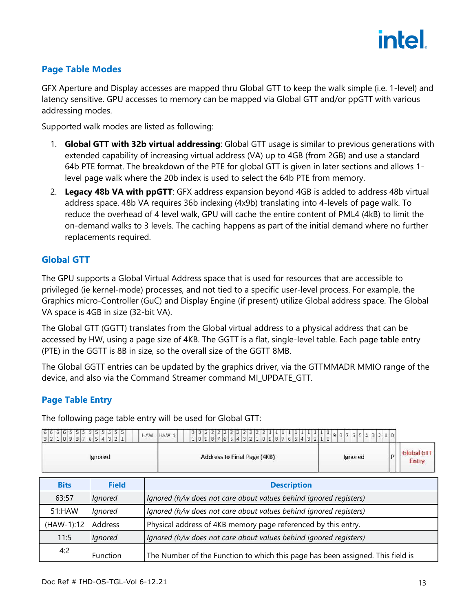

### **Page Table Modes**

GFX Aperture and Display accesses are mapped thru Global GTT to keep the walk simple (i.e. 1-level) and latency sensitive. GPU accesses to memory can be mapped via Global GTT and/or ppGTT with various addressing modes.

Supported walk modes are listed as following:

- 1. **Global GTT with 32b virtual addressing**: Global GTT usage is similar to previous generations with extended capability of increasing virtual address (VA) up to 4GB (from 2GB) and use a standard 64b PTE format. The breakdown of the PTE for global GTT is given in later sections and allows 1 level page walk where the 20b index is used to select the 64b PTE from memory.
- 2. **Legacy 48b VA with ppGTT**: GFX address expansion beyond 4GB is added to address 48b virtual address space. 48b VA requires 36b indexing (4x9b) translating into 4-levels of page walk. To reduce the overhead of 4 level walk, GPU will cache the entire content of PML4 (4kB) to limit the on-demand walks to 3 levels. The caching happens as part of the initial demand where no further replacements required.

### **Global GTT**

The GPU supports a Global Virtual Address space that is used for resources that are accessible to privileged (ie kernel-mode) processes, and not tied to a specific user-level process. For example, the Graphics micro-Controller (GuC) and Display Engine (if present) utilize Global address space. The Global VA space is 4GB in size (32-bit VA).

The Global GTT (GGTT) translates from the Global virtual address to a physical address that can be accessed by HW, using a page size of 4KB. The GGTT is a flat, single-level table. Each page table entry (PTE) in the GGTT is 8B in size, so the overall size of the GGTT 8MB.

The Global GGTT entries can be updated by the graphics driver, via the GTTMMADR MMIO range of the device, and also via the Command Streamer command MI\_UPDATE\_GTT.

### **Page Table Entry**

The following page table entry will be used for Global GTT:

| 3210987654321 | 5              | HAW HAW-1                                                                      |         |   |                            |  |
|---------------|----------------|--------------------------------------------------------------------------------|---------|---|----------------------------|--|
|               | Ignored        | Address to Final Page (4KB)                                                    | Ignored | P | <b>Global GTT</b><br>Entry |  |
| <b>Bits</b>   | <b>Field</b>   | <b>Description</b>                                                             |         |   |                            |  |
| 63:57         | lgnored        | Ignored (h/w does not care about values behind ignored registers)              |         |   |                            |  |
| 51:HAW        | <i>lgnored</i> | Ignored (h/w does not care about values behind ignored registers)              |         |   |                            |  |
| (HAW-1):12    | Address        | Physical address of 4KB memory page referenced by this entry.                  |         |   |                            |  |
| 11:5          | <i>lgnored</i> | Ignored (h/w does not care about values behind ignored registers)              |         |   |                            |  |
| 4:2           | Function       | The Number of the Function to which this page has been assigned. This field is |         |   |                            |  |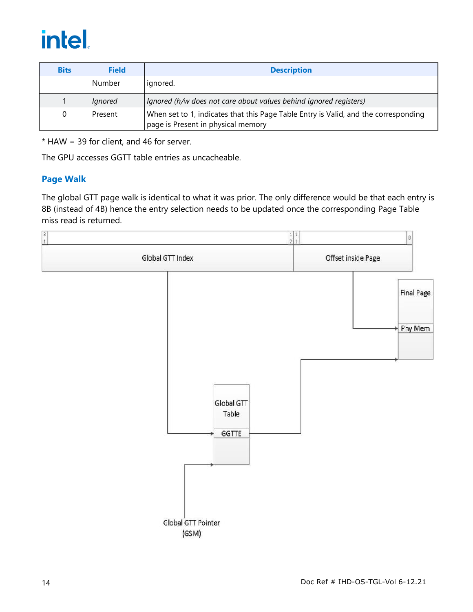| <b>Bits</b> | <b>Field</b> | <b>Description</b>                                                                                                        |
|-------------|--------------|---------------------------------------------------------------------------------------------------------------------------|
|             | Number       | ignored.                                                                                                                  |
|             | lgnored      | Ignored (h/w does not care about values behind ignored registers)                                                         |
| 0           | Present      | When set to 1, indicates that this Page Table Entry is Valid, and the corresponding<br>page is Present in physical memory |

 $*$  HAW = 39 for client, and 46 for server.

The GPU accesses GGTT table entries as uncacheable.

#### **Page Walk**

The global GTT page walk is identical to what it was prior. The only difference would be that each entry is 8B (instead of 4B) hence the entry selection needs to be updated once the corresponding Page Table miss read is returned.

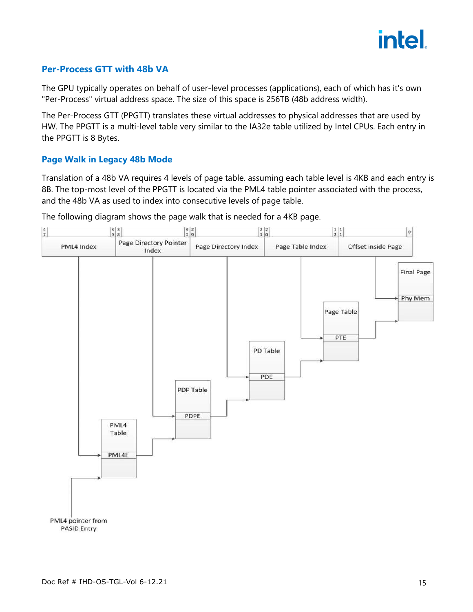

#### **Per-Process GTT with 48b VA**

The GPU typically operates on behalf of user-level processes (applications), each of which has it's own "Per-Process" virtual address space. The size of this space is 256TB (48b address width).

The Per-Process GTT (PPGTT) translates these virtual addresses to physical addresses that are used by HW. The PPGTT is a multi-level table very similar to the IA32e table utilized by Intel CPUs. Each entry in the PPGTT is 8 Bytes.

#### **Page Walk in Legacy 48b Mode**

Translation of a 48b VA requires 4 levels of page table. assuming each table level is 4KB and each entry is 8B. The top-most level of the PPGTT is located via the PML4 table pointer associated with the process, and the 48b VA as used to index into consecutive levels of page table.



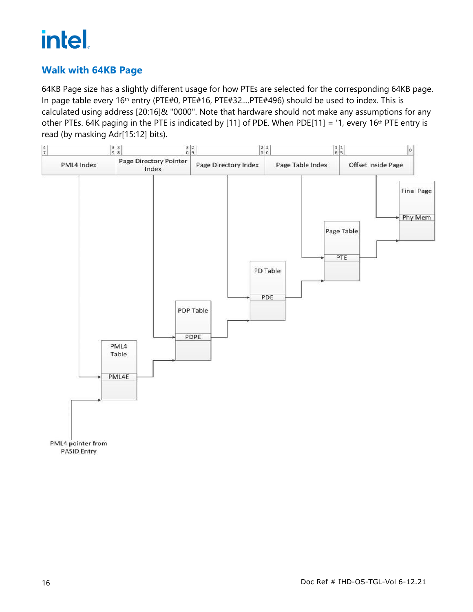### <span id="page-19-0"></span>**Walk with 64KB Page**

64KB Page size has a slightly different usage for how PTEs are selected for the corresponding 64KB page. In page table every 16<sup>th</sup> entry (PTE#0, PTE#16, PTE#32....PTE#496) should be used to index. This is calculated using address [20:16]& "0000". Note that hardware should not make any assumptions for any other PTEs. 64K paging in the PTE is indicated by [11] of PDE. When PDE[11] = '1, every 16<sup>th</sup> PTE entry is read (by masking Adr[15:12] bits).

![](_page_19_Figure_3.jpeg)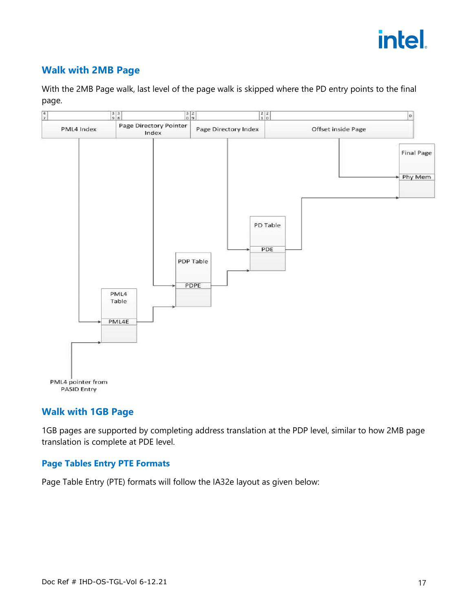![](_page_20_Picture_0.jpeg)

### <span id="page-20-0"></span>**Walk with 2MB Page**

With the 2MB Page walk, last level of the page walk is skipped where the PD entry points to the final page.

![](_page_20_Figure_3.jpeg)

#### **Walk with 1GB Page**

1GB pages are supported by completing address translation at the PDP level, similar to how 2MB page translation is complete at PDE level.

#### **Page Tables Entry PTE Formats**

Page Table Entry (PTE) formats will follow the IA32e layout as given below: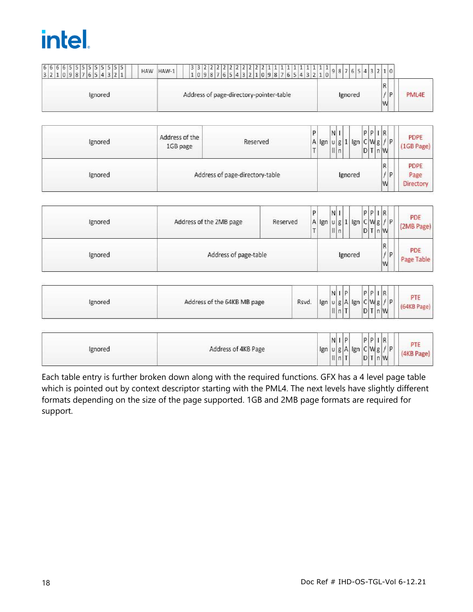| 6 6 6 6 5 5 5 5 5 5 5 5 5 5<br>$3$ 2 1 0 9 8 7 6 5 | HAW HAW-1<br>1765432109876543210<br>1098 | 7 6 5 4 3 2 1 0<br>98    |      |
|----------------------------------------------------|------------------------------------------|--------------------------|------|
| Ignored                                            | Address of page-directory-pointer-table  | R<br> P <br>Ignored<br>W | PML4 |

| Ignored | Address of the<br>1GB page | Reserved                        | P<br>- | NI I<br>A Ign u<br>Ign<br> g <br>   n <br>$D$ <sub>T</sub> | $\vert \vert R$<br>P<br> C Wg <br>$\sqrt{D}$<br>$\ln W $ | <b>PDPF</b><br>(1GB Page) |
|---------|----------------------------|---------------------------------|--------|------------------------------------------------------------|----------------------------------------------------------|---------------------------|
| Ignored |                            | Address of page-directory-table |        | Ignored                                                    | R <br>D<br><b>W</b>                                      | PDPE<br>Page<br>Directory |

| Ignored | Address of the 2MB page | P<br>Reserved<br>÷ | NI.<br>A $\left  \mathsf{lgn} \right $ $\left  \mathsf{g} \right $<br>Ign<br>$\ \ n\ $<br>DT | $P$ $1$ $R$<br>CWg<br>ם ו<br>$\ln$ M | <b>PDE</b><br>(2MB Page) |
|---------|-------------------------|--------------------|----------------------------------------------------------------------------------------------|--------------------------------------|--------------------------|
| Ignored | Address of page-table   |                    | Ignored                                                                                      | R<br>D<br>W                          | <b>PDE</b><br>Page Table |

| Ignored | Address of the 64KB MB page<br><b>CONTRACTOR</b> | Rsvd. |  |  | $N$   $P$<br>$\  \  n \ $ |  | R<br><b>DD</b><br>$\left  \text{lgn} \right $ u $\left  \text{g} \right $ A $\left  \text{lgn} \right $ C $\left  \text{Wg} \right $<br>$\left( \mathbf{D}\right)$<br>$n$ W<br>D |  |
|---------|--------------------------------------------------|-------|--|--|---------------------------|--|----------------------------------------------------------------------------------------------------------------------------------------------------------------------------------|--|
|---------|--------------------------------------------------|-------|--|--|---------------------------|--|----------------------------------------------------------------------------------------------------------------------------------------------------------------------------------|--|

| - 5 | Address of 4KB Page<br>8878 | $\sim$ | N<br>п<br>н. |  | D | I <sub>on</sub> | R <br>D<br>$\mathbf{D}$<br>٠<br>$CWg$ ,<br>$\sqrt{2}$<br>D<br>$-25.8$<br>$n$ W |  |
|-----|-----------------------------|--------|--------------|--|---|-----------------|--------------------------------------------------------------------------------|--|
|-----|-----------------------------|--------|--------------|--|---|-----------------|--------------------------------------------------------------------------------|--|

Each table entry is further broken down along with the required functions. GFX has a 4 level page table which is pointed out by context descriptor starting with the PML4. The next levels have slightly different formats depending on the size of the page supported. 1GB and 2MB page formats are required for support.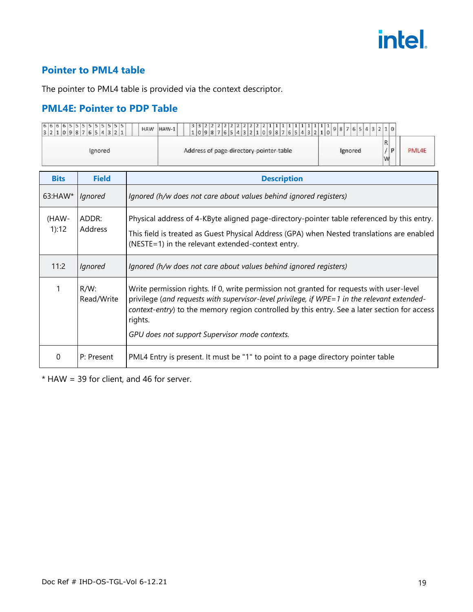![](_page_22_Picture_0.jpeg)

### <span id="page-22-0"></span>**Pointer to PML4 table**

The pointer to PML4 table is provided via the context descriptor.

### <span id="page-22-1"></span>**PML4E: Pointer to PDP Table**

|                | 6 6 6 6 5 5 5 5 5 5 5 5 5<br>$3$ 2 1 0 9 8 7 6 5 4 3 2 1                                       | HAW HAW-1                                                                                                                                                                                                                                     |                                                                                                                                                                                                                                                                                                                                           |                    |         |                      |       |  |  |  |  |
|----------------|------------------------------------------------------------------------------------------------|-----------------------------------------------------------------------------------------------------------------------------------------------------------------------------------------------------------------------------------------------|-------------------------------------------------------------------------------------------------------------------------------------------------------------------------------------------------------------------------------------------------------------------------------------------------------------------------------------------|--------------------|---------|----------------------|-------|--|--|--|--|
|                | Ignored                                                                                        |                                                                                                                                                                                                                                               | Address of page-directory-pointer-table                                                                                                                                                                                                                                                                                                   |                    | lgnored | R<br>$\sqrt{P}$<br>w | PML4E |  |  |  |  |
| <b>Bits</b>    | <b>Field</b>                                                                                   |                                                                                                                                                                                                                                               |                                                                                                                                                                                                                                                                                                                                           | <b>Description</b> |         |                      |       |  |  |  |  |
| $63:HAW^*$     | Ignored                                                                                        |                                                                                                                                                                                                                                               | Ignored (h/w does not care about values behind ignored registers)                                                                                                                                                                                                                                                                         |                    |         |                      |       |  |  |  |  |
| (HAW-<br>1):12 | ADDR:<br>Address                                                                               | Physical address of 4-KByte aligned page-directory-pointer table referenced by this entry.<br>This field is treated as Guest Physical Address (GPA) when Nested translations are enabled<br>(NESTE=1) in the relevant extended-context entry. |                                                                                                                                                                                                                                                                                                                                           |                    |         |                      |       |  |  |  |  |
| 11:2           | Ignored                                                                                        |                                                                                                                                                                                                                                               | Ignored (h/w does not care about values behind ignored registers)                                                                                                                                                                                                                                                                         |                    |         |                      |       |  |  |  |  |
| 1              | $R/W$ :<br>Read/Write                                                                          | rights.                                                                                                                                                                                                                                       | Write permission rights. If 0, write permission not granted for requests with user-level<br>privilege (and requests with supervisor-level privilege, if WPE=1 in the relevant extended-<br>context-entry) to the memory region controlled by this entry. See a later section for access<br>GPU does not support Supervisor mode contexts. |                    |         |                      |       |  |  |  |  |
| $\Omega$       | PML4 Entry is present. It must be "1" to point to a page directory pointer table<br>P: Present |                                                                                                                                                                                                                                               |                                                                                                                                                                                                                                                                                                                                           |                    |         |                      |       |  |  |  |  |

 $*$  HAW = 39 for client, and 46 for server.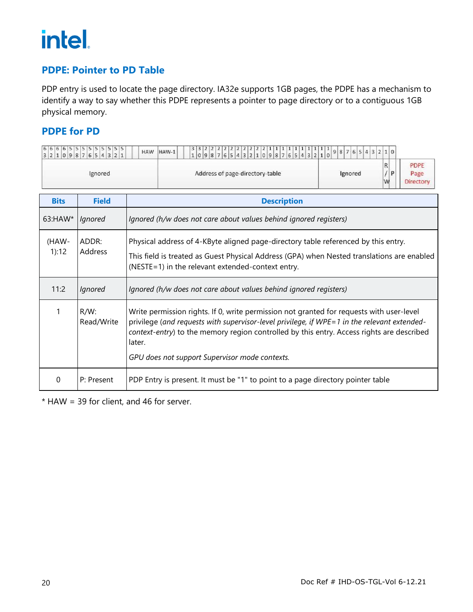### <span id="page-23-0"></span>**PDPE: Pointer to PD Table**

PDP entry is used to locate the page directory. IA32e supports 1GB pages, the PDPE has a mechanism to identify a way to say whether this PDPE represents a pointer to page directory or to a contiguous 1GB physical memory.

### <span id="page-23-1"></span>**PDPE for PD**

|                                                   | 6 6 6 6 5 5 5 5 5 5 5 5 5<br>3 2 1 0 9 8 7 6 5 4 3 2 1                                        |                                                                                                                                                                                                                                                                                                                                                  | HAW HAW-1                                                         |  |                                            |                      |                           |  |  |  |
|---------------------------------------------------|-----------------------------------------------------------------------------------------------|--------------------------------------------------------------------------------------------------------------------------------------------------------------------------------------------------------------------------------------------------------------------------------------------------------------------------------------------------|-------------------------------------------------------------------|--|--------------------------------------------|----------------------|---------------------------|--|--|--|
|                                                   | Ignored                                                                                       |                                                                                                                                                                                                                                                                                                                                                  |                                                                   |  | Address of page-directory-table<br>Ignored | R<br>$\sqrt{P}$<br>w | PDPF<br>Page<br>Directory |  |  |  |
| <b>Bits</b><br><b>Field</b><br><b>Description</b> |                                                                                               |                                                                                                                                                                                                                                                                                                                                                  |                                                                   |  |                                            |                      |                           |  |  |  |
| $63:HAW^*$                                        | Ignored                                                                                       |                                                                                                                                                                                                                                                                                                                                                  | Ignored (h/w does not care about values behind ignored registers) |  |                                            |                      |                           |  |  |  |
| (HAW-<br>1:12                                     | ADDR:<br>Address                                                                              | Physical address of 4-KByte aligned page-directory table referenced by this entry.<br>This field is treated as Guest Physical Address (GPA) when Nested translations are enabled<br>(NESTE=1) in the relevant extended-context entry.                                                                                                            |                                                                   |  |                                            |                      |                           |  |  |  |
| 11:2                                              | Ignored                                                                                       |                                                                                                                                                                                                                                                                                                                                                  | Ignored (h/w does not care about values behind ignored registers) |  |                                            |                      |                           |  |  |  |
| 1                                                 | $R/W$ :<br>Read/Write                                                                         | Write permission rights. If 0, write permission not granted for requests with user-level<br>privilege (and requests with supervisor-level privilege, if WPE=1 in the relevant extended-<br>context-entry) to the memory region controlled by this entry. Access rights are described<br>later.<br>GPU does not support Supervisor mode contexts. |                                                                   |  |                                            |                      |                           |  |  |  |
| 0                                                 | PDP Entry is present. It must be "1" to point to a page directory pointer table<br>P: Present |                                                                                                                                                                                                                                                                                                                                                  |                                                                   |  |                                            |                      |                           |  |  |  |

 $*$  HAW = 39 for client, and 46 for server.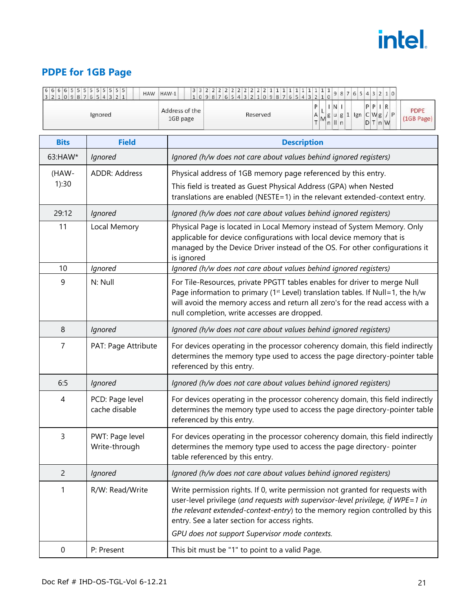### <span id="page-24-0"></span>**PDPE for 1GB Page**

| 6 6 6 6 5 5 5 5 5 5 5 5 5<br>3 2 1 0 9 8 7 6 5 4 3 2 1<br>$HAW-1$<br><b>HAW</b> |                                                                                                                                                                                                                                                                                                                     |                                                                                                                                                                                                                                                                                                                                                     |  |  |  |  |  |  |  |  |
|---------------------------------------------------------------------------------|---------------------------------------------------------------------------------------------------------------------------------------------------------------------------------------------------------------------------------------------------------------------------------------------------------------------|-----------------------------------------------------------------------------------------------------------------------------------------------------------------------------------------------------------------------------------------------------------------------------------------------------------------------------------------------------|--|--|--|--|--|--|--|--|
|                                                                                 | Ignored                                                                                                                                                                                                                                                                                                             | $P$ $P$ $I$ $R$<br>I N I<br>P<br><b>PDPE</b><br>Address of the<br>$g u g 1 $ Ign $C Wg /P$<br>Α<br>Reserved<br>1GB page<br>(1GB Page)<br>T<br>$n$    n<br>$D$ T n W                                                                                                                                                                                 |  |  |  |  |  |  |  |  |
| <b>Bits</b>                                                                     | <b>Field</b>                                                                                                                                                                                                                                                                                                        | <b>Description</b>                                                                                                                                                                                                                                                                                                                                  |  |  |  |  |  |  |  |  |
| 63:HAW*                                                                         | Ignored                                                                                                                                                                                                                                                                                                             | Ignored (h/w does not care about values behind ignored registers)                                                                                                                                                                                                                                                                                   |  |  |  |  |  |  |  |  |
| (HAW-<br>1):30                                                                  | <b>ADDR: Address</b>                                                                                                                                                                                                                                                                                                | Physical address of 1GB memory page referenced by this entry.<br>This field is treated as Guest Physical Address (GPA) when Nested<br>translations are enabled (NESTE=1) in the relevant extended-context entry.                                                                                                                                    |  |  |  |  |  |  |  |  |
| 29:12                                                                           | Ignored                                                                                                                                                                                                                                                                                                             | Ignored (h/w does not care about values behind ignored registers)                                                                                                                                                                                                                                                                                   |  |  |  |  |  |  |  |  |
| 11                                                                              | Local Memory                                                                                                                                                                                                                                                                                                        | Physical Page is located in Local Memory instead of System Memory. Only<br>applicable for device configurations with local device memory that is<br>managed by the Device Driver instead of the OS. For other configurations it<br>is ignored                                                                                                       |  |  |  |  |  |  |  |  |
| 10                                                                              | Ignored                                                                                                                                                                                                                                                                                                             | Ignored (h/w does not care about values behind ignored registers)                                                                                                                                                                                                                                                                                   |  |  |  |  |  |  |  |  |
| 9                                                                               | N: Null<br>For Tile-Resources, private PPGTT tables enables for driver to merge Null<br>Page information to primary (1 <sup>st</sup> Level) translation tables. If Null=1, the h/w<br>will avoid the memory access and return all zero's for the read access with a<br>null completion, write accesses are dropped. |                                                                                                                                                                                                                                                                                                                                                     |  |  |  |  |  |  |  |  |
| 8                                                                               | Ignored (h/w does not care about values behind ignored reqisters)<br>Ignored                                                                                                                                                                                                                                        |                                                                                                                                                                                                                                                                                                                                                     |  |  |  |  |  |  |  |  |
| 7                                                                               | PAT: Page Attribute                                                                                                                                                                                                                                                                                                 | For devices operating in the processor coherency domain, this field indirectly<br>determines the memory type used to access the page directory-pointer table<br>referenced by this entry.                                                                                                                                                           |  |  |  |  |  |  |  |  |
| 6:5                                                                             | Ignored                                                                                                                                                                                                                                                                                                             | Ignored (h/w does not care about values behind ignored registers)                                                                                                                                                                                                                                                                                   |  |  |  |  |  |  |  |  |
| 4                                                                               | PCD: Page level<br>cache disable                                                                                                                                                                                                                                                                                    | For devices operating in the processor coherency domain, this field indirectly<br>determines the memory type used to access the page directory-pointer table<br>referenced by this entry.                                                                                                                                                           |  |  |  |  |  |  |  |  |
| 3                                                                               | PWT: Page level<br>Write-through                                                                                                                                                                                                                                                                                    | For devices operating in the processor coherency domain, this field indirectly<br>determines the memory type used to access the page directory- pointer<br>table referenced by this entry.                                                                                                                                                          |  |  |  |  |  |  |  |  |
| $\overline{2}$                                                                  | Ignored                                                                                                                                                                                                                                                                                                             | Ignored (h/w does not care about values behind ignored registers)                                                                                                                                                                                                                                                                                   |  |  |  |  |  |  |  |  |
| 1                                                                               | R/W: Read/Write                                                                                                                                                                                                                                                                                                     | Write permission rights. If 0, write permission not granted for requests with<br>user-level privilege (and requests with supervisor-level privilege, if WPE=1 in<br>the relevant extended-context-entry) to the memory region controlled by this<br>entry. See a later section for access rights.<br>GPU does not support Supervisor mode contexts. |  |  |  |  |  |  |  |  |
| 0                                                                               | P: Present                                                                                                                                                                                                                                                                                                          | This bit must be "1" to point to a valid Page.                                                                                                                                                                                                                                                                                                      |  |  |  |  |  |  |  |  |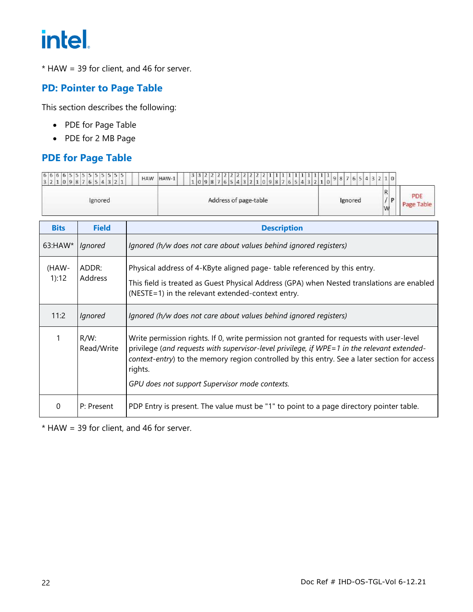$*$  HAW = 39 for client, and 46 for server.

### <span id="page-25-0"></span>**PD: Pointer to Page Table**

This section describes the following:

- PDE for Page Table
- PDE for 2 MB Page

### <span id="page-25-1"></span>**PDE for Page Table**

|                                                   | 6 6 6 5 5 5 5 5 5 5 5 5<br>3 2 1 0 9 8 7 6 5 4 3 2 1 |                                                                                         | 3 3 2 2 2 2 2 2 2 2 2 1 1 1 1 1 1 1<br>987<br>6 5 4 3 2 1 0<br>HAW HAW-1<br>1098765432109876543210                                                                                                                                                                                                                                        |                 |                   |  |  |  |  |  |
|---------------------------------------------------|------------------------------------------------------|-----------------------------------------------------------------------------------------|-------------------------------------------------------------------------------------------------------------------------------------------------------------------------------------------------------------------------------------------------------------------------------------------------------------------------------------------|-----------------|-------------------|--|--|--|--|--|
|                                                   | Ignored                                              |                                                                                         | Address of page-table<br>Ignored                                                                                                                                                                                                                                                                                                          | $\sqrt{P}$<br>W | PDF<br>Page Table |  |  |  |  |  |
| <b>Bits</b><br><b>Field</b><br><b>Description</b> |                                                      |                                                                                         |                                                                                                                                                                                                                                                                                                                                           |                 |                   |  |  |  |  |  |
| 63:HAW*                                           | Ignored                                              |                                                                                         | Ignored (h/w does not care about values behind ignored registers)                                                                                                                                                                                                                                                                         |                 |                   |  |  |  |  |  |
| (HAW-<br>1:12                                     | ADDR:<br>Address                                     |                                                                                         | Physical address of 4-KByte aligned page-table referenced by this entry.<br>This field is treated as Guest Physical Address (GPA) when Nested translations are enabled<br>(NESTE=1) in the relevant extended-context entry.                                                                                                               |                 |                   |  |  |  |  |  |
| 11:2                                              | Ignored                                              |                                                                                         | Ignored (h/w does not care about values behind ignored registers)                                                                                                                                                                                                                                                                         |                 |                   |  |  |  |  |  |
| 1                                                 | $R/W$ :<br>Read/Write                                | rights.                                                                                 | Write permission rights. If 0, write permission not granted for requests with user-level<br>privilege (and requests with supervisor-level privilege, if WPE=1 in the relevant extended-<br>context-entry) to the memory region controlled by this entry. See a later section for access<br>GPU does not support Supervisor mode contexts. |                 |                   |  |  |  |  |  |
| $\Omega$                                          | P: Present                                           | PDP Entry is present. The value must be "1" to point to a page directory pointer table. |                                                                                                                                                                                                                                                                                                                                           |                 |                   |  |  |  |  |  |

 $*$  HAW = 39 for client, and 46 for server.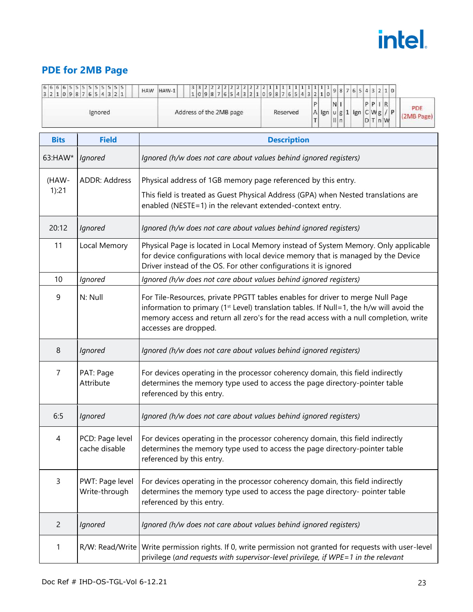## <span id="page-26-0"></span>**PDE for 2MB Page**

| 6 6 6 6 5 5 5 5 5 5 5 5 5<br>9876543210<br>HAW<br>HAW-1<br>$3$ 2 1 0 9 8 7 6 5 4 3 2 |                                  |                                                                                                                                                                                                                                                                                                          |  |  |  |  |  |
|--------------------------------------------------------------------------------------|----------------------------------|----------------------------------------------------------------------------------------------------------------------------------------------------------------------------------------------------------------------------------------------------------------------------------------------------------|--|--|--|--|--|
|                                                                                      | Ignored                          | $P$ $P$ $1$ $R$<br>N I<br>PDE<br>A Ign $ u g 1$ Ign $C[Wg]/P$<br>Address of the 2MB page<br>Reserved<br>(2MB Page)<br>$D$ T $n$ W<br>T<br>$\mathbb{II}$ n                                                                                                                                                |  |  |  |  |  |
| <b>Bits</b>                                                                          | <b>Field</b>                     | <b>Description</b>                                                                                                                                                                                                                                                                                       |  |  |  |  |  |
| 63:HAW*                                                                              | Ignored                          | Ignored (h/w does not care about values behind ignored registers)                                                                                                                                                                                                                                        |  |  |  |  |  |
| (HAW-<br>1):21                                                                       | ADDR: Address                    | Physical address of 1GB memory page referenced by this entry.<br>This field is treated as Guest Physical Address (GPA) when Nested translations are<br>enabled (NESTE=1) in the relevant extended-context entry.                                                                                         |  |  |  |  |  |
| 20:12                                                                                | Ignored                          | Ignored (h/w does not care about values behind ignored registers)                                                                                                                                                                                                                                        |  |  |  |  |  |
| 11                                                                                   | Local Memory                     | Physical Page is located in Local Memory instead of System Memory. Only applicable<br>for device configurations with local device memory that is managed by the Device<br>Driver instead of the OS. For other configurations it is ignored                                                               |  |  |  |  |  |
| 10                                                                                   | Ignored                          | Ignored (h/w does not care about values behind ignored registers)                                                                                                                                                                                                                                        |  |  |  |  |  |
| 9                                                                                    | N: Null                          | For Tile-Resources, private PPGTT tables enables for driver to merge Null Page<br>information to primary (1 <sup>st</sup> Level) translation tables. If Null=1, the h/w will avoid the<br>memory access and return all zero's for the read access with a null completion, write<br>accesses are dropped. |  |  |  |  |  |
| 8                                                                                    | Ignored                          | Ignored (h/w does not care about values behind ignored registers)                                                                                                                                                                                                                                        |  |  |  |  |  |
| 7                                                                                    | PAT: Page<br>Attribute           | For devices operating in the processor coherency domain, this field indirectly<br>determines the memory type used to access the page directory-pointer table<br>referenced by this entry.                                                                                                                |  |  |  |  |  |
| 6:5                                                                                  | Ignored                          | Ignored (h/w does not care about values behind ignored registers)                                                                                                                                                                                                                                        |  |  |  |  |  |
| 4                                                                                    | PCD: Page level<br>cache disable | For devices operating in the processor coherency domain, this field indirectly<br>determines the memory type used to access the page directory-pointer table<br>referenced by this entry.                                                                                                                |  |  |  |  |  |
| 3                                                                                    | PWT: Page level<br>Write-through | For devices operating in the processor coherency domain, this field indirectly<br>determines the memory type used to access the page directory- pointer table<br>referenced by this entry.                                                                                                               |  |  |  |  |  |
| $\overline{c}$                                                                       | Ignored                          | Ignored (h/w does not care about values behind ignored registers)                                                                                                                                                                                                                                        |  |  |  |  |  |
| 1                                                                                    |                                  | R/W: Read/Write   Write permission rights. If 0, write permission not granted for requests with user-level<br>privilege (and requests with supervisor-level privilege, if WPE=1 in the relevant                                                                                                          |  |  |  |  |  |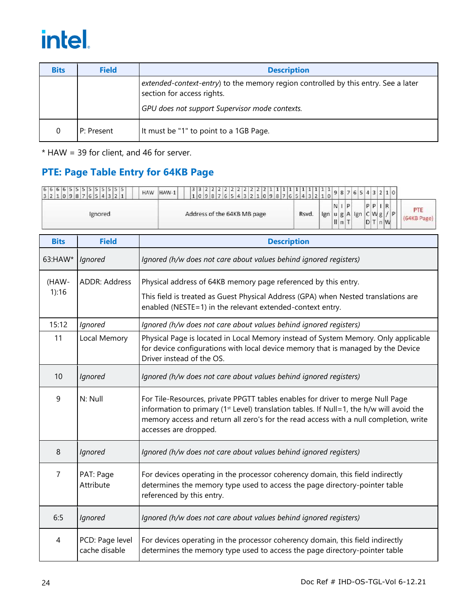| <b>Bits</b> | <b>Field</b> | <b>Description</b>                                                                                               |
|-------------|--------------|------------------------------------------------------------------------------------------------------------------|
|             |              | extended-context-entry) to the memory region controlled by this entry. See a later<br>section for access rights. |
|             |              | GPU does not support Supervisor mode contexts.                                                                   |
|             | P: Present   | It must be "1" to point to a 1GB Page.                                                                           |

 $*$  HAW = 39 for client, and 46 for server.

## <span id="page-27-0"></span>**PTE: Page Table Entry for 64KB Page**

|                | 5 5 5 5 5 5<br>55<br>$3$ 2 1 0 9 8 7 6 5 4 3 2 1 |  | HAW HAW-1<br>1098765432109876543210                                                                                                                                                                               |       |     |  |                                        | 9876543210   |                                        |  |                    |
|----------------|--------------------------------------------------|--|-------------------------------------------------------------------------------------------------------------------------------------------------------------------------------------------------------------------|-------|-----|--|----------------------------------------|--------------|----------------------------------------|--|--------------------|
| Ignored        |                                                  |  | Address of the 64KB MB page                                                                                                                                                                                       | Rsvd. | Ign |  | $N$   $ P $<br>$\Vert \Vert n \Vert$ T | $u g A $ Ign | $P$ $I$ $R$<br> C Wg / P <br>$D$ T n W |  | PTE<br>(64KB Page) |
| <b>Bits</b>    | <b>Field</b>                                     |  | <b>Description</b>                                                                                                                                                                                                |       |     |  |                                        |              |                                        |  |                    |
| $63:HAW*$      | lgnored                                          |  | Ignored (h/w does not care about values behind ignored registers)                                                                                                                                                 |       |     |  |                                        |              |                                        |  |                    |
| (HAW-<br>1):16 | ADDR: Address                                    |  | Physical address of 64KB memory page referenced by this entry.<br>This field is treated as Guest Physical Address (GPA) when Nested translations are<br>enabled (NESTE=1) in the relevant extended-context entry. |       |     |  |                                        |              |                                        |  |                    |
| 15:12          | lgnored                                          |  | Ignored (h/w does not care about values behind ignored registers)                                                                                                                                                 |       |     |  |                                        |              |                                        |  |                    |

| 15:12          | lgnored                          | Ignored (h/w does not care about values behind ignored registers)                                                                                                                                                                                                                                        |
|----------------|----------------------------------|----------------------------------------------------------------------------------------------------------------------------------------------------------------------------------------------------------------------------------------------------------------------------------------------------------|
| 11             | Local Memory                     | Physical Page is located in Local Memory instead of System Memory. Only applicable<br>for device configurations with local device memory that is managed by the Device<br>Driver instead of the OS.                                                                                                      |
| 10             | Ignored                          | Ignored (h/w does not care about values behind ignored registers)                                                                                                                                                                                                                                        |
| 9              | N: Null                          | For Tile-Resources, private PPGTT tables enables for driver to merge Null Page<br>information to primary (1 <sup>st</sup> Level) translation tables. If Null=1, the h/w will avoid the<br>memory access and return all zero's for the read access with a null completion, write<br>accesses are dropped. |
| 8              | <b>Ignored</b>                   | Ignored (h/w does not care about values behind ignored registers)                                                                                                                                                                                                                                        |
| $\overline{7}$ | PAT: Page<br>Attribute           | For devices operating in the processor coherency domain, this field indirectly<br>determines the memory type used to access the page directory-pointer table<br>referenced by this entry.                                                                                                                |
| 6:5            | Ignored                          | Ignored (h/w does not care about values behind ignored registers)                                                                                                                                                                                                                                        |
| 4              | PCD: Page level<br>cache disable | For devices operating in the processor coherency domain, this field indirectly<br>determines the memory type used to access the page directory-pointer table                                                                                                                                             |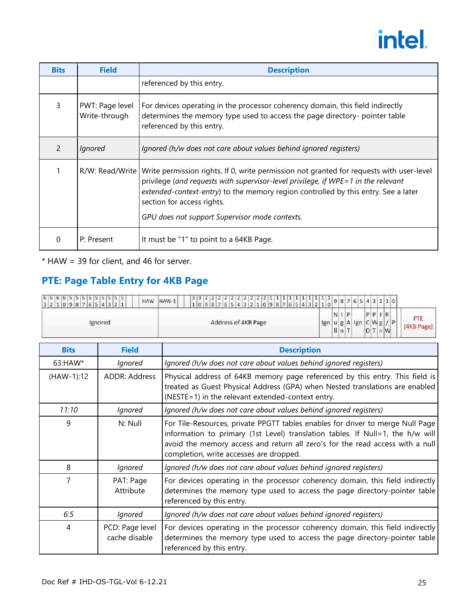| <b>Bits</b>   | <b>Field</b>                     | <b>Description</b>                                                                                                                                                                                                                                                                                                                                                  |
|---------------|----------------------------------|---------------------------------------------------------------------------------------------------------------------------------------------------------------------------------------------------------------------------------------------------------------------------------------------------------------------------------------------------------------------|
|               |                                  | referenced by this entry.                                                                                                                                                                                                                                                                                                                                           |
| 3             | PWT: Page level<br>Write-through | For devices operating in the processor coherency domain, this field indirectly<br>determines the memory type used to access the page directory- pointer table<br>referenced by this entry.                                                                                                                                                                          |
| $\mathcal{P}$ | lgnored                          | Ignored (h/w does not care about values behind ignored registers)                                                                                                                                                                                                                                                                                                   |
|               |                                  | R/W: Read/Write Write permission rights. If 0, write permission not granted for requests with user-level<br>privilege (and requests with supervisor-level privilege, if WPE=1 in the relevant<br>extended-context-entry) to the memory region controlled by this entry. See a later<br>section for access rights.<br>GPU does not support Supervisor mode contexts. |
| 0             | P: Present                       | It must be "1" to point to a 64KB Page.                                                                                                                                                                                                                                                                                                                             |

 $*$  HAW = 39 for client, and 46 for server.

### <span id="page-28-0"></span>**PTE: Page Table Entry for 4KB Page**

| 6 6 6 5 5 5 5 5 5 5 5 5<br>765<br>098 | 3322<br>HAW HAW-1<br>$-321098$<br>$-1$<br>6 5 <br>1098 |     |   | 98 |     | 16'    |        | 543210                     |   |              |     |
|---------------------------------------|--------------------------------------------------------|-----|---|----|-----|--------|--------|----------------------------|---|--------------|-----|
| Ignored                               | Address of 4KB Page                                    | Ign | N | n  | i D | $I$ ar | P<br>D | C[Wg]<br>$T \mid n \mid W$ | R | $\mathsf{P}$ | PTE |

| <b>Bits</b>    | <b>Field</b>                     | <b>Description</b>                                                                                                                                                                                                                                                                           |  |
|----------------|----------------------------------|----------------------------------------------------------------------------------------------------------------------------------------------------------------------------------------------------------------------------------------------------------------------------------------------|--|
| $63:HAW^*$     | <i>lgnored</i>                   | Ignored (h/w does not care about values behind ignored registers)                                                                                                                                                                                                                            |  |
| (HAW-1):12     | <b>ADDR: Address</b>             | Physical address of 64KB memory page referenced by this entry. This field is<br>treated as Guest Physical Address (GPA) when Nested translations are enabled<br>(NESTE=1) in the relevant extended-context entry.                                                                            |  |
| 11:10          | <b>Ignored</b>                   | Ignored (h/w does not care about values behind ignored registers)                                                                                                                                                                                                                            |  |
| 9              | N: Null                          | For Tile-Resources, private PPGTT tables enables for driver to merge Null Page<br>information to primary (1st Level) translation tables. If Null=1, the h/w will<br>avoid the memory access and return all zero's for the read access with a null<br>completion, write accesses are dropped. |  |
| 8              | <b>Ignored</b>                   | Ignored (h/w does not care about values behind ignored registers)                                                                                                                                                                                                                            |  |
| 7              | PAT: Page<br>Attribute           | For devices operating in the processor coherency domain, this field indirectly<br>determines the memory type used to access the page directory-pointer table<br>referenced by this entry.                                                                                                    |  |
| 6:5            | <b>Ignored</b>                   | Ignored (h/w does not care about values behind ignored registers)                                                                                                                                                                                                                            |  |
| $\overline{4}$ | PCD: Page level<br>cache disable | For devices operating in the processor coherency domain, this field indirectly<br>determines the memory type used to access the page directory-pointer table<br>referenced by this entry.                                                                                                    |  |